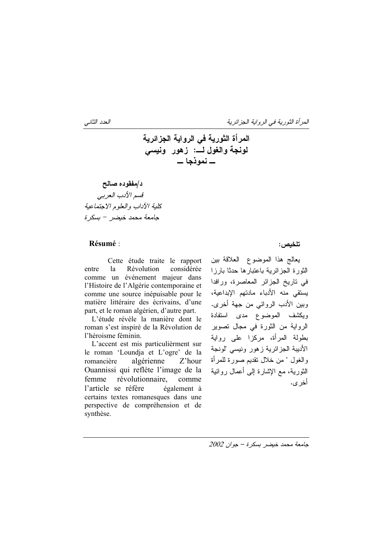د/مفقوده صالح قسم الأدب العربي كلية الآداب والعلوم الاحتماعية جامعة محمد خيضر - بسكرة

## Résumé :

Cette étude traite le rapport  $l$ a Révolution considérée entre comme un événement majeur dans l'Histoire de l'Algérie contemporaine et comme une source inépuisable pour le matière littéraire des écrivains, d'une part, et le roman algérien, d'autre part.

L'étude révèle la manière dont le roman s'est inspiré de la Révolution de l'héroisme féminin.

L'accent est mis particulièrment sur le roman 'Loundja et L'ogre' de la romancière algérienne Z'hour Ouannissi qui reflète l'image de la femme révolutionnaire, comme l'article se réfère également à certains textes romanesques dans une perspective de compréhension et de synthèse.

تلخيص :

يعالج هذا الموضوع العلاقة بين الثورة الجزائرية باعتبارها حدثا بارزا في تاريخ الجزائر المعاصرة، ورافدا يستقى منه الأدباء مادتهم الإبداعية، وبين الأدب الروائي من جهة أخرى. ويكشف الموضوع مدى استفادة الرواية من الثورة في مجال تصوير بطولة المرأة، مركزا على رواية الأدبية الجزائرية زهور ونبسى "لونجة والغول " من خلال نقديم صورة للمر أة النورية، مع الإشارة إلى أعمال روائية أخر ي.

 $2002$  جامعة محمد خيضر بسكرة - جوان

العدد الثاني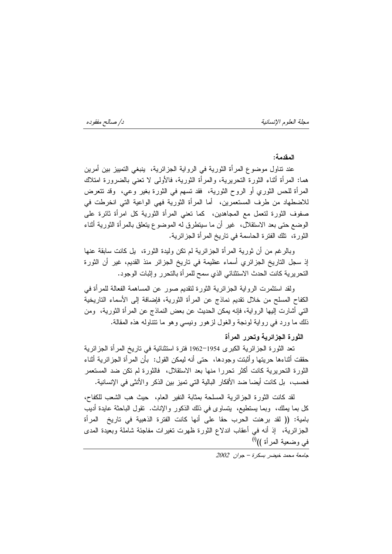د/ صالح مفقوده

مجلة العلوم الإنسانية

المقدمة:

عند نتاول موضوع المرأة الثورية في الرواية الجزائرية، ينبغي النمييز بين أمرين هما: المرأة أنْناء الثورة النحريرية، والمرأة الثورية، فالأولى لا نعنى بالضرورة امتلاك المرأة للحس الثوري أو الروح الثورية، فقد نسهم في الثورة بغير وعي، وقد نتعرض للاضطهاد من طرف المستعمرين، ۖ أما المرأة الثورية فهي الواعية التي انخرطت في صفوف الثورة لنعمل مع المجاهدين، كما نعني المرأة الثورية كل امرأة ثائرة على الوضع حتى بعد الاستقلال، غير أن ما سينطرق له الموضوع يتعلق بالمرأة الثورية أثناء الثورة، تلك الفترة الحاسمة في تاريخ المرأة الجزائرية.

وبالرغم من أن ثورية المرأة الجزائرية لم نكن وليدة الثورة، بل كانت سابقة عنها إذ سجل التاريخ الجزائري أسماء عظيمة في تاريخ الجزائر منذ القديم، غير أن الثورة التحريرية كانت الحدث الاستثنائي الذي سمح للمرأة بالتحرر وإثبات الوجود.

ولقد استثمرت الرواية الـجزائرية الثورة لتقديم صور عن المساهمة الفعالة للمرأة فمي الكفاح المسلح من خلال نقديم نماذج عن المرأة الثورية، فإضافة إلى الأسماء الناريخية النَّبِي أشارت الِيها الرواية، فإنه يمكن الحديث عن بعض النماذج عن المرأة الثورية، ۖ ومن ذلك ما ورد في رواية لونجة والغول لزهور ونيسى وهو ما نتناوله هذه المقالة.

الثورة الجزائرية وتحرر المرأة

تعد الثورة الجزائرية الكبرى 1954–1962 فترة استثنائية في تاريخ المرأة الجزائرية حققت أثناءها حريتها وأثبتت وجودها، حتى أنه ليمكن القول: بأن المرأة الجزائرية أثناء الثورة التحريرية كانت أكثر تحررا منها بعد الاستقلال، فالثورة لم تكن ضد المستعمر فحسب، بل كانت أيضا ضد الأفكار البالية التي تميز بين الذكر والأنثي في الإنسانية.

لقد كانت الثورة الجزائرية المسلحة بمثابة النفير العام، حيث هب الشعب للكفاح، كل بما يملك، ۖ وبما يستطيع، ۖ يتساوى في ذلك الذكور واﻹناث. ۖ نقول الباحثة عايدة أديب بامية: (( لقد برهنت الحرب حقا على أنها كانت الفترة الذهبية في تاريخ المرأة الْجَزْائِرِية، ۚ إِذْ أَنَّهُ فَمِي أَعْقَابِ الْذَلَاعِ الْثَوْرِةِ ظَهَرَتَ تَغْيَرَاتَ مَفَاجِئَة شاملة وبعيدة المدى في وضعية المرأة ))<sup>(أ)</sup>

۔<br>حامعة محمد خلصر اسکر ة - حوان 2002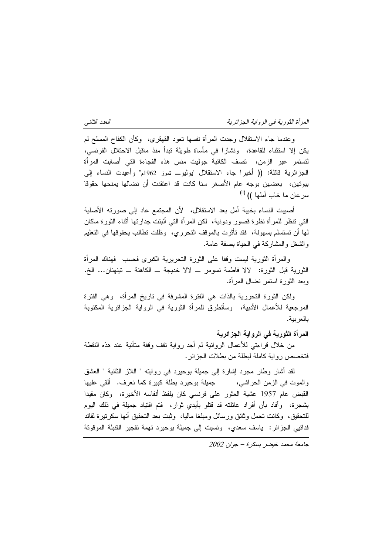المرأة الثورية في الرواية الجزائرية

العدد الثاني

وعندما جاء الاستقلال وجدت المرأة نفسها نعود القهقرى، ۖ وكأن الكفاح المسلح لم يكن إلا استثناء للقاعدة، ونشازا في مأساة طويلة نبدأ منذ ماقبل الاحتلال الفرنسي، لتستمر عبر الزمن، تصف الكاتبة جوليت منس هذه الفجاءة التي أصابت المرأة الْجِزِائِرِية قائلة: (( أُخيرا جاء الاستقلال "يوليو\_ تموز 1962م" وأُعيِّدت النساء إلى بيوتهن، بعضهن بوجه عام الأصغر سنا كانت قد اعتقدت أن نضالها يمنحها حقوقا سرعان ما خاب أملها )) <sup>(ii</sup>)

أصيبت النساء بخيبة أمل بعد الاستقلال، لأن المجتمع عاد إلى صورته الأصلية التي نتظر للمرأة نظرة قصور ودونية، لكن المرأة التي أثبتت جدارتها أثناء الثورة ماكان لمها أن تستسلم بسهولة، فقد تأثَّرت بالموقف التحرري، وظلت نطالب بحقوقها في التعليم و الشغل و المشاركة في الحياة بصفة عامة.

والمرأة الثورية ليست وقفا على الثورة التحريرية الكبرى فحسب فهناك المرأة الثورية قبل الثورة: لالا فاطمة نسومر \_ لالا خديجة \_ الكاهنة \_ ننينهنان... الخ. وبعد الثورة استمر نضال المرأة.

ولكن الثورة النحررية بالذات هي الفترة المشرفة في ناريخ المرأة، ۖ وهي الفترة المرجعية للأعمال الأدبية، ۖ وسأنطرق للمرأة الثورية فـي الرواية الجزائرية المكتوبة بالعربية.

## المرأة الثورية في الرواية الجزائرية

من خلال قراءتي للأعمال الروائية لم أجد رواية نقف وقفة متأنية عند هذه النقطة فتخصص ر و ابة كاملة لبطلة من بطلات الجز ائر .

لقد أشار وطار مجرد إشارة إلى جميلة بوحيرد في روايته " اللاز الثانية " العشق والموت في الزمن الحراشي، جميلة بوحيرد بطلة كبيرة كما نعرف. ألقى عليها القبض عام 1957 عشية العثور على فرنسي كان يلفظ أنفاسه الأخيرة، وكان مقيدا بشجرة، وأفاد بأن أفراد عائلته قد قتلو بأيدي ثوار، فتم اقتياد جميلة في ذلك اليوم للتحقيق، ۖ وكانت تحمل وثائق ورسائل ومبلغا ماليا، ۖ وثبت بعد التحقيق أنها سكرنتيرة لقائد فدائيي الجزائر: ياسف سعدي، ونسبت إلى جميلة بوحيرد تهمة تفجير القنبلة الموقوتة

 $2002$  جامعة محمد خيضر بسكرة - جوان 2002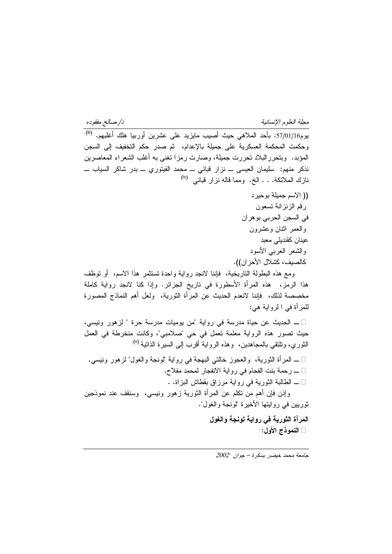د/ صللح مفقوده<br>مسلم

مجلة العلوم الإنسانية

يوم57/01/16. بأحد الملاهي حيث أصيب مايزيد على عشرين أوربيا هلك أغلبهم. <sup>(iii</sup>) وحكمت المحكمة العسكرية على جميلة بالإعدام، ثم صدر حكم التخفيف إلى السجن المؤبد. ۖ وبنحرر البلاد نحررت جميلة، وصارت رمزًا نغني به أغلب الشعراء المعاصرين نذكر منهم: سليمان العيسى ـــ نزار قباني ـــ محمد الفيتوري ـــ بدر شاكر السياب ـــ نازك الملائكة. . . الخ. ومما قاله نزار قباني <sup>(iv)</sup>

(( الاسم جميلة بوحيرد ر قم الزنز انة تسعون في السجن الحربي بو هران والعمر اثنان وعشرون عينان كقنديلي معبد والشعر العربى الأسود كالصيف، كشلال الأحز ان)). ومع هذه البطولة التاريخية، فإننا لانجد رواية وإحدة تستثمر هذا الاسم، أو نوظف

هذا الرمز، هذه المرأة الأسطورة في ناريخ الجزائر. وإذا كنا لانجد رواية كاملة مخصصة لذلك، فإننا لانعدم الحديث عن المرأة الثورية، ولعل أهم النماذج المصورة للمرأة في الرواية هي:

1\_ الحديث عن حياة مدرسة في رواية "من يوميات مدرسة حرة " لزهور ونيسي، حيث نصور هذه الرواية معلمة نعمل في حي "صلامبي"، وكانت منخرطة في العمل الثوري، ونلتقي بالمجاهدين، وهذه الرواية أقرب إلى السيرة الذاننية <sup>(٧).</sup>

1 ــ المرأة الثورية، والعجوز خالتي البهجة في رواية "لونجة والغول" لزهور ونيسي. 1 \_ رحمة بنت الفحام في رواية الانفجار لمحمد مفلاح. 1 ـــ الطالبة الثورية فـي رواية مرزاق بقطاش البزاة. . وإنن فإن أهم من نكلم عن المرأة الثورية زهور ونيسى، وسنقف عند نموذجين ثوريين في روايتها الأخيرة "لونجة والغول".

> المرأة الثورية في رواية لونجة والغول النموذج الأول: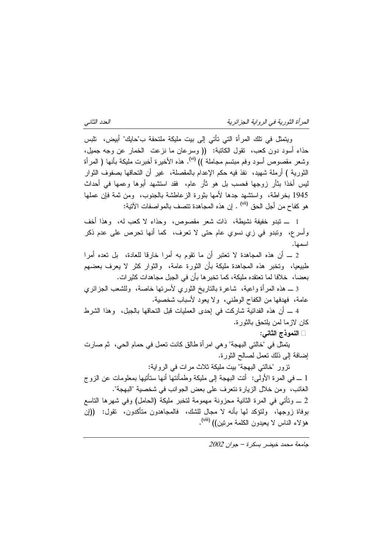المرأة الثورية في الرواية الجزائرية

العدد الثانبي

ويتمثَّل في نلك المرأة التي نأتي إلى بيت مليكة ملتحفة ب"حايك" أبيض، نلبس حذاء أسود دون كعب، نقول الكانبة: (( وسرعان ما نزعت الخمار عن وجه جميل، وشعر مقصوص أسود وفم مبتسم مجاملة )) <sup>(vi)</sup>. هذه الأخيرة أخبرت مليكة بأنها ( المرأة الثورية ) أرملة شهيد، نفذ فيه حكم الإعدام بالمقصلة، غير أن التحاقها بصفوف الثوار ليس أخذا بثأر زوجها فحسب بل هو ثأر عام، فقد استشهد أبوها وعمها في أحداث 1945 بخراطة، واستشهد جدها لأمها بثورة الزعاطشة بالجنوب، ومن ثمة فإن عملها هو كفاح من أجل الحق <sup>(vii)</sup> . إن هذه المجاهدة تتصف بالمو اصفات الآتية:

1 ـــ تبدو خفيفة نشيطة، ذات شعر مقصوص، وحذاء لا كعب له، وهذا أخف وأسرع، ونبدو في زي نسوي عام حتى لا نعرف، كما أنها نحرص على عدم ذكر اسمها.

2 ــ أن هذه المجاهدة لا نعتبر أن ما نقوم به أمرا خارقا للعادة، بل نعده أمرا طبيعيا، وتخبر هذه المجاهدة مليكة بأن الثورة عامة، والثوار كثر لا يعرف بعضهم بعضا، ۖ خلافا لما تعتقده مليكة، كما تخبر ها بأن في الجبل مجاهدات كثير ات.

3 ــ هذه المرأة واعية، شاعرة بالناريخ الثوري لأسرتها خاصة، وللشعب الجزائري عامة، فهدفها من الكفاح الوطنبي، ولا يعود لأسباب شخصية.

4 ــــ أن هذه الفدائية شاركت في إحدى العمليات قبل التحاقها بالجبل، وهذا الشرط كان لاز ما لمن يلتحق بالثور ة.

النموذج الثاني:

يتمثَّل في "خالتي البهجة" و هي امرٍ أة طالق كانت تعمل في حمام الحي، ثم صارت إضافة إلى ذلك نعمل لصالح الثورة.

نزور "خالتي البهجة" بيت مليكة ثلاث مرات في الرواية:

1 ـــ في المرة الأولى: أنت البهجة إلى مليكة وطمأنتها أنها ستأنيها بمعلومات عن الزوج الغائب، ومن خلال الزيارة نتعرف على بعض الجوانب في شخصية "البهجة". 2 ـــ وتأتـي فـي المرة الثانية مـحزونة مـهمومة لتخبر مليكة (الـحامل) وفـي شـهرها التاسع بوفاة زوجها، ولتؤكد لمها بأنه لا مجال للشك، فالمجاهدون متأكدون، تقول: ((إن هؤلاء الناس لا يعيدون الكلمة مرتين)) (<sup>viii)</sup>.

 $2002$  حامعة محمد خلضر بسكرة - حوان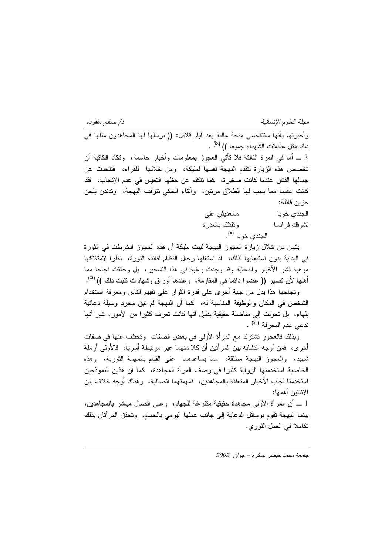د/ صىالح مفقوده

مجلة العلوم الإنسانية

ذلك مثل عائلات الشهداء جميعا )) <sup>(x)</sup> . 3 ـــ أما فـي المـرة الثالثة فلا نأتـي العجوز بمعلومات وأخبار حاسمة، ونكاد الكاتبة أن تخصص هذه الزيارة لتقدم البهجة نفسها لمليكة، ومن خلالها للقراء، فتتحدث عن جمالها الفتان عندما كانت صغيرة، كما نتكلم عن حظها التعيس في عدم الإنجاب، فقد كانت عقيما مما سبب لها الطلاق مرنين، وأثناء الحكي نتوقف البهجة، وندندن بلحن حز ين قائلة:

وأخبر تها بأنها ستتقاضى منحة مالية بعد أيام قلائل: (( بر سلها لها المجاهدون مثلها في

ماتعدېش علمي الجندى خويا وتقتلك بالغدرة نشوفك فرانسا الحندي خوبا <sup>(x)</sup>.

يتبين من خلال زيارة العجوز البهجة لبيت مليكة أن هذه العجوز انخرطت في الثورة في البداية بدون استيعابها لذلك، إذ استغلها رجال النظام لفائدة الثورة، نظرًا لامتلاكها موهبة نشر الأخبار والدعاية وقد وجدت رغبة في هذا التسخير، بل وحققت نجاحا مما أهلها لأن تصير (( عضوا دائما في المقاومة، وعندها أوراق وشهادات تثبت ذلك )) <sup>(xi</sup>).

ونجاحها هذا يدل من جهة أخرى على قدرة الثوار على نقييم الناس ومعرفة استخدام الشَّخص في المكان والوظيفة المناسبة له، كما أن البهجة لم نبقٍ مجردٍ وسيلةٍ دعائيةٍ بلهاء، بل نحولت إلى مناضلة حقيقية بدليل أنها كانت نعرف كثيرا من الأمور، غير أنها ندعي عدم المعرفة <sup>(xii</sup>) .

وبذلك فالعجوز نتشترك مع المرأة الأولى في بعض الصفات ۖ وتختلف عنها في صفات أخرى، فمن أوجه النشابه بين المرأنين أن كلا منهما غير مرتبطة أسريا، فالأولى أرملة شهيد، والعجوز البهجة مطلقة، مما يساعدهما على القيام بالمهمة الثورية، وهذه الخاصية استخدمتها الرواية كثيرًا في وصف المرأة المجاهدة، كما أن هذين النموذجين استخدمتا لجلب الأخبار المتعلقة بالمجاهدين، فمهمتهما اتصالية، وهناك أوجه خلاف بين الاثنتين أهمها:

1 ـــ أن المرأة الأولى مجاهدة حقيقية متفرغة للجهاد، وعلى انصال مباشر بالمجاهدين، بينما البهجة تقوم بوسائل الدعاية إلى جانب عملها اليومي بالحمام، وتحقق المر أتان بذلك نكاملا في العمل الثوري.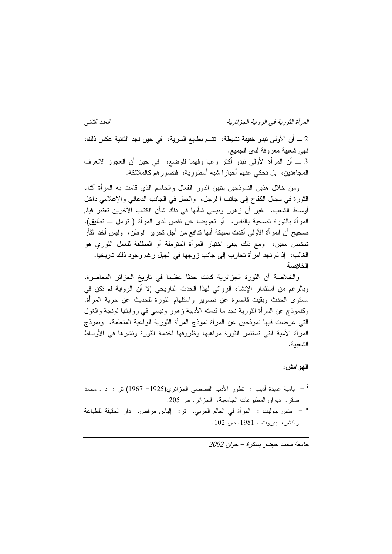المرأة الثورية في الرواية الجزائرية

2 ـــ أن الأولى تبدو خفيفة نشيطة، تتسم بطابع السرية، في حين نجد الثانية عكس ذلك، فهي شعبية معروفة لدى الجميع. 3 ــ أن المرأة الأولى تبدو أكثر وعيا وفهما للوضع، ۖ في حين أن العجوز لاتعرف المجاهدين، بل تحكي عنهم أخبارا شبه أسطورية، فتصورهم كالملائكة.

ومن خلال هذين النموذجين يتبين الدور الفعال والحاسم الذي قامت به المرأة أثناء الثورة في مجال الكفاح إلى جانب ا لرجل، والعمل في الجانب الدعائي والإعلامي داخل أوساط الشعب. غير أن زهور ونيسى شأنها في ذلك شأن الكتاب الآخرين تعتبر قيام المرأة بالثورة تضحية بالنفس، أو تعويضا عن نقص لدى المرأة ( نرمل ــ تطليق). صحيح أن المرأة الأولىي أكدت لمليكة أنها ندافع من أجل نحرير الوطن، وليس أخذا لثأر شخص معين، ومع ذلك يبقى اختيار المرأة المترملة أو المطلقة للعمل الثوري هو الغالب، ۖ إذ لم نجد امر أة تحارب إلى جانب زوجها في الجبل رغم وجود ذلك تاريخيا. الخلاصة

والخلاصة أن الثورة الجزائرية كانت حدثا عظيما في تاريخ الجزائر المعاصرة، وبالرغم من استثمار الإنشاء الروائـي لمهذا الـحدث الناريخي إلا أن الرواية لم تكن فـي مستوى الحدث وبقيت قاصرة عن تصوير واستلهام الثورة للحديث عن حرية المرأة. وكنموذج عن المرأة الثورية نجد ما قدمته الأديبة زهور ونيسى في روايتها لونجة والغول التي عرضت فيها نموذجين عن المرأة نموذج المرأة الثورية الواعية المتعلمة، ۖ ونموذج المرأة الأمية التـي تستثمر الثورة مواهبها وظروفها لخدمة الثورة ونشرها فـي الأوساط الشعينة.

## الـهوامش:

بامية عايدة أديب : نطور الأدب القصصبي الجزائري(1925– 1967) تر : د . محمد  $^{-1}$ صقر. ديوان المطبوعات الجامعية، الجزائر. ص 205. <sup>ii</sup> – منس جوليت : المرأة في العالم العربي، تر: الياس مرفص، دار الحقيقة للطباعة والنشر ، بيروت . 1981. ص 102.

 $2002$  حامعة محمد خبضر بسكرة - حوان

العدد الثانبي